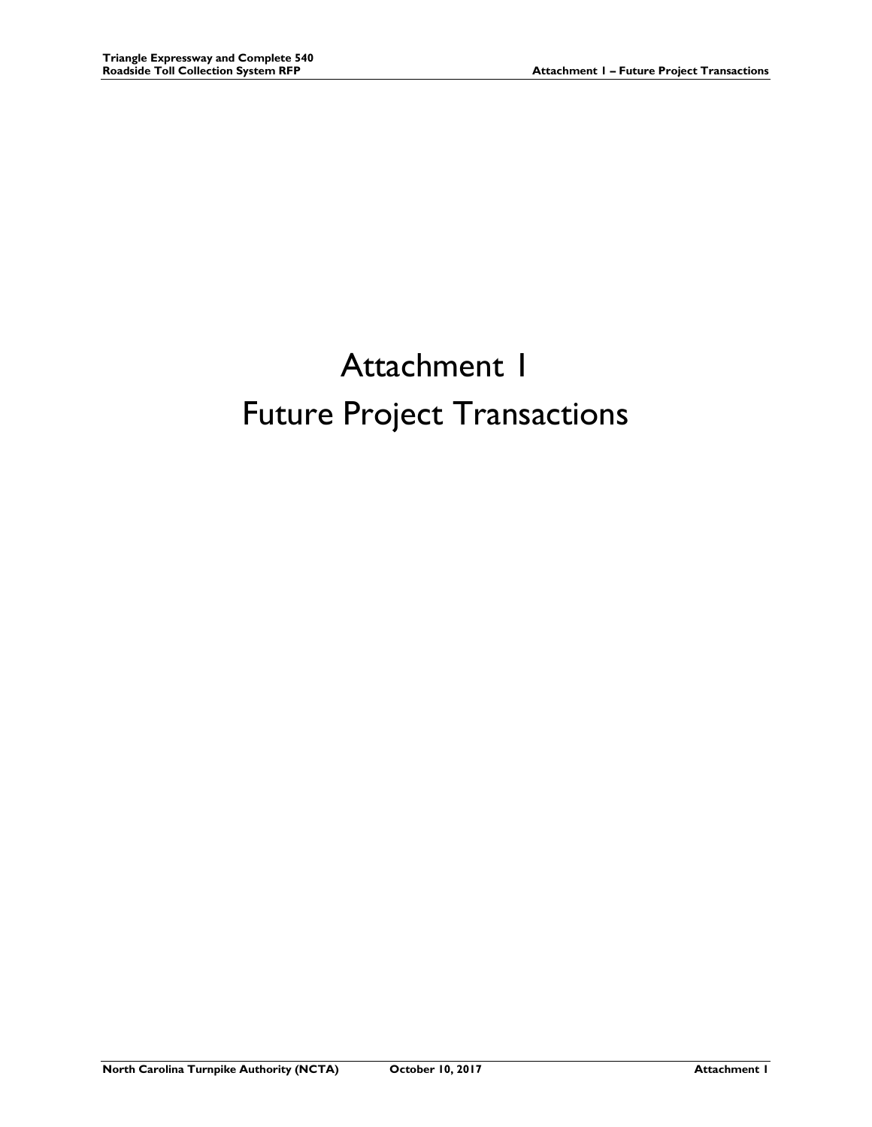## Attachment 1 Future Project Transactions